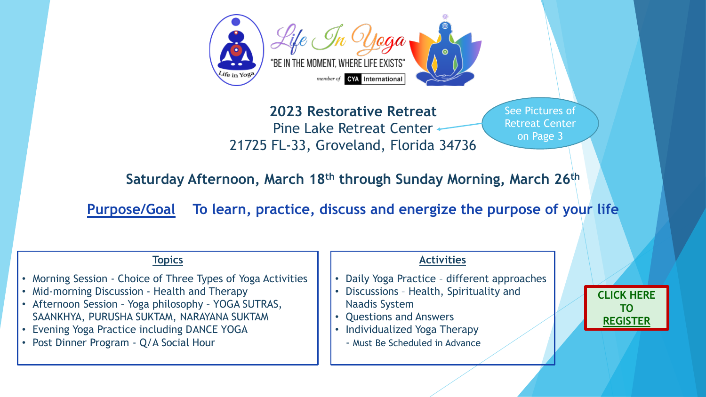

# **2023 Restorative Retreat** Pine Lake Retreat Center 21725 FL-33, Groveland, Florida 34736

# **Topics**

- Morning Session Choice of Three Types of Yoga Activities
- Mid-morning Discussion Health and Therapy
- Afternoon Session Yoga philosophy YOGA SUTRAS, SAANKHYA, PURUSHA SUKTAM, NARAYANA SUKTAM
- Evening Yoga Practice including DANCE YOGA
- Post Dinner Program Q/A Social Hour

# **Activities**

- Daily Yoga Practice different approaches
- Discussions Health, Spirituality and Naadis System
- Questions and Answers
- Individualized Yoga Therapy
	- Must Be Scheduled in Advance

**Purpose/Goal To learn, practice, discuss and energize the purpose of your life**

**Saturday Afternoon, March 18th through Sunday Morning, March 26th**

See Pictures of Retreat Center on Page 3

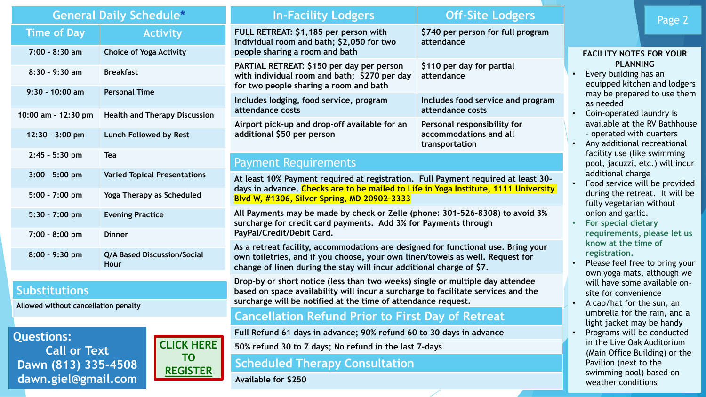**dawn.giel@gmail.com**

| <b>General Daily Schedule*</b>                                                           |                                                   |  | <b>In-Facility Lodgers</b>                                                                                                                                                                                                                 | <b>Off-Site Lodgers</b>                                                 |
|------------------------------------------------------------------------------------------|---------------------------------------------------|--|--------------------------------------------------------------------------------------------------------------------------------------------------------------------------------------------------------------------------------------------|-------------------------------------------------------------------------|
| <b>Time of Day</b><br>$7:00 - 8:30$ am                                                   | <b>Activity</b><br><b>Choice of Yoga Activity</b> |  | FULL RETREAT: \$1,185 per person with<br>\$740 per person for full program<br>individual room and bath; \$2,050 for two<br>attendance<br>people sharing a room and bath                                                                    |                                                                         |
|                                                                                          |                                                   |  |                                                                                                                                                                                                                                            |                                                                         |
| $8:30 - 9:30$ am                                                                         | <b>Breakfast</b>                                  |  | PARTIAL RETREAT: \$150 per day per person<br>with individual room and bath; \$270 per day<br>for two people sharing a room and bath                                                                                                        | \$110 per day for partial<br>attendance                                 |
| $9:30 - 10:00$ am                                                                        | <b>Personal Time</b>                              |  | Includes lodging, food service, program                                                                                                                                                                                                    | Includes food service and program                                       |
| 10:00 am - 12:30 pm                                                                      | <b>Health and Therapy Discussion</b>              |  | attendance costs                                                                                                                                                                                                                           | attendance costs                                                        |
| 12:30 - 3:00 pm                                                                          | <b>Lunch Followed by Rest</b>                     |  | Airport pick-up and drop-off available for an<br>additional \$50 per person                                                                                                                                                                | Personal responsibility for<br>accommodations and all<br>transportation |
| $2:45 - 5:30$ pm                                                                         | <b>Tea</b>                                        |  | <b>Payment Requirements</b>                                                                                                                                                                                                                |                                                                         |
| $3:00 - 5:00$ pm                                                                         | <b>Varied Topical Presentations</b>               |  | At least 10% Payment required at registration. Full Payment required at least 30-<br>days in advance. Checks are to be mailed to Life in Yoga Institute, 1111 University<br>Blvd W, #1306, Silver Spring, MD 20902-3333                    |                                                                         |
| $5:00 - 7:00$ pm                                                                         | Yoga Therapy as Scheduled                         |  |                                                                                                                                                                                                                                            |                                                                         |
| $5:30 - 7:00$ pm                                                                         | <b>Evening Practice</b>                           |  | All Payments may be made by check or Zelle (phone: 301-526-8308) to avoid 3%<br>surcharge for credit card payments. Add 3% for Payments through<br>PayPal/Credit/Debit Card.                                                               |                                                                         |
| $7:00 - 8:00$ pm                                                                         | <b>Dinner</b>                                     |  |                                                                                                                                                                                                                                            |                                                                         |
| $8:00 - 9:30$ pm                                                                         | <b>Q/A Based Discussion/Social</b><br>Hour        |  | As a retreat facility, accommodations are designed for functional use. Bring your<br>own toiletries, and if you choose, your own linen/towels as well. Request for<br>change of linen during the stay will incur additional charge of \$7. |                                                                         |
| <b>Substitutions</b>                                                                     |                                                   |  | Drop-by or short notice (less than two weeks) single or multiple day attendee<br>based on space availability will incur a surcharge to facilitate services and the<br>surcharge will be notified at the time of attendance request.        |                                                                         |
| Allowed without cancellation penalty                                                     |                                                   |  | <b>Cancellation Refund Prior to First Day of Retreat</b>                                                                                                                                                                                   |                                                                         |
| <b>Questions:</b>                                                                        |                                                   |  | Full Refund 61 days in advance; 90% refund 60 to 30 days in advance                                                                                                                                                                        |                                                                         |
| <b>CLICK HERE</b><br><b>Call or Text</b><br>TO<br>Dawn (813) 335-4508<br><b>REGISTER</b> |                                                   |  | 50% refund 30 to 7 days; No refund in the last 7-days                                                                                                                                                                                      |                                                                         |
|                                                                                          |                                                   |  | <b>Scheduled Therapy Consultation</b>                                                                                                                                                                                                      |                                                                         |
|                                                                                          |                                                   |  |                                                                                                                                                                                                                                            |                                                                         |

**Available for \$250**

Page 2

# gram

# **Index**

- 
- 
- 
- 
- 
- 
- 
- 

## **FACILITY NOTES FOR YOUR PLANNING**

- Every building has an equipped kitchen and lodgers may be prepared to use them as needed
- Coin-operated laundry is available at the RV Bathhouse – operated with quarters
- Any additional recreational facility use (like swimming pool, jacuzzi, etc.) will incur additional charge
- Food service will be provided during the retreat. It will be fully vegetarian without onion and garlic.
- **For special dietary requirements, please let us know at the time of registration.**
- Please feel free to bring your own yoga mats, although we will have some available onsite for convenience
- A cap/hat for the sun, an umbrella for the rain, and a light jacket may be handy • Programs will be conducted in the Live Oak Auditorium (Main Office Building) or the Pavilion (next to the swimming pool) based on weather conditions